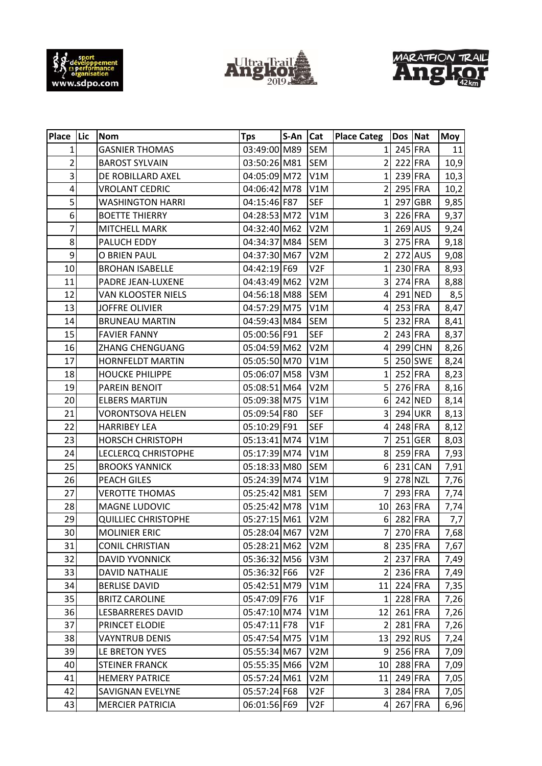





| Place Lic      | <b>Nom</b>                 | <b>Tps</b>       | S-An Cat |                  | <b>Place Categ</b>      | Dos Nat |                | <b>Moy</b> |
|----------------|----------------------------|------------------|----------|------------------|-------------------------|---------|----------------|------------|
| 1              | <b>GASNIER THOMAS</b>      | 03:49:00 M89     |          | <b>SEM</b>       | 1                       |         | 245 FRA        | 11         |
| $\overline{2}$ | <b>BAROST SYLVAIN</b>      | 03:50:26 M81     |          | <b>SEM</b>       | $\overline{2}$          |         | 222 FRA        | 10,9       |
| 3              | DE ROBILLARD AXEL          | 04:05:09 M72     |          | V1M              | 1                       |         | 239 FRA        | 10,3       |
| 4              | <b>VROLANT CEDRIC</b>      | 04:06:42 M78     |          | V1M              | $\overline{2}$          | 295 FRA |                | 10,2       |
| 5              | <b>WASHINGTON HARRI</b>    | 04:15:46 F87     |          | <b>SEF</b>       | $\mathbf{1}$            |         | 297 GBR        | 9,85       |
| 6              | <b>BOETTE THIERRY</b>      | 04:28:53 M72     |          | V1M              | $\overline{\mathbf{3}}$ |         | 226 FRA        | 9,37       |
| $\overline{7}$ | MITCHELL MARK              | 04:32:40 M62     |          | V <sub>2</sub> M | 1                       |         | $269$ AUS      | 9,24       |
| 8              | PALUCH EDDY                | 04:34:37 M84     |          | <b>SEM</b>       | 3                       |         | 275 FRA        | 9,18       |
| 9              | O BRIEN PAUL               | 04:37:30 M67     |          | V <sub>2</sub> M | $\overline{2}$          |         | 272 AUS        | 9,08       |
| 10             | <b>BROHAN ISABELLE</b>     | 04:42:19 F69     |          | V <sub>2F</sub>  | $\mathbf{1}$            |         | 230 FRA        | 8,93       |
| 11             | PADRE JEAN-LUXENE          | 04:43:49 M62     |          | V <sub>2</sub> M | $\vert$ 3               | 274 FRA |                | 8,88       |
| 12             | <b>VAN KLOOSTER NIELS</b>  | 04:56:18 M88     |          | <b>SEM</b>       | 4                       |         | 291 NED        | 8,5        |
| 13             | <b>JOFFRE OLIVIER</b>      | 04:57:29 M75     |          | V1M              | $\overline{\mathbf{4}}$ |         | 253 FRA        | 8,47       |
| 14             | <b>BRUNEAU MARTIN</b>      | 04:59:43 M84     |          | <b>SEM</b>       | 5 <sup>1</sup>          |         | 232 FRA        | 8,41       |
| 15             | <b>FAVIER FANNY</b>        | 05:00:56 F91     |          | <b>SEF</b>       | $\overline{2}$          |         | 243 FRA        | 8,37       |
| 16             | ZHANG CHENGUANG            | 05:04:59 M62     |          | V <sub>2</sub> M | 4                       |         | 299 CHN        | 8,26       |
| 17             | <b>HORNFELDT MARTIN</b>    | 05:05:50 M70     |          | V1M              | 5                       |         | 250 SWE        | 8,24       |
| 18             | <b>HOUCKE PHILIPPE</b>     | 05:06:07 M58     |          | V3M              | $\mathbf{1}$            |         | $252$ FRA      | 8,23       |
| 19             | PAREIN BENOIT              | 05:08:51 M64     |          | V <sub>2</sub> M | 5                       |         | 276 FRA        | 8,16       |
| 20             | <b>ELBERS MARTIJN</b>      | 05:09:38 M75     |          | V1M              | $6 \overline{6}$        |         | 242 NED        | 8,14       |
| 21             | <b>VORONTSOVA HELEN</b>    | 05:09:54 F80     |          | <b>SEF</b>       | $\overline{\mathbf{3}}$ |         | <b>294 UKR</b> | 8,13       |
| 22             | <b>HARRIBEY LEA</b>        | 05:10:29 F91     |          | <b>SEF</b>       | 4                       |         | 248 FRA        | 8,12       |
| 23             | <b>HORSCH CHRISTOPH</b>    | 05:13:41 M74     |          | V1M              | 7                       |         | $251$ GER      | 8,03       |
| 24             | LECLERCQ CHRISTOPHE        | 05:17:39 M74     |          | V1M              | 8 <sup>1</sup>          |         | 259 FRA        | 7,93       |
| 25             | <b>BROOKS YANNICK</b>      | 05:18:33 M80     |          | <b>SEM</b>       | 6                       |         | $231$ CAN      | 7,91       |
| 26             | <b>PEACH GILES</b>         | 05:24:39 M74     |          | V1M              | $\overline{9}$          |         | 278 NZL        | 7,76       |
| 27             | <b>VEROTTE THOMAS</b>      | 05:25:42 M81     |          | <b>SEM</b>       | 7                       |         | 293 FRA        | 7,74       |
| 28             | MAGNE LUDOVIC              | 05:25:42 M78     |          | V1M              | 10 <sup>1</sup>         |         | 263 FRA        | 7,74       |
| 29             | <b>QUILLIEC CHRISTOPHE</b> | 05:27:15 M61     |          | V <sub>2</sub> M | 6                       |         | 282 FRA        | 7,7        |
| 30             | <b>MOLINIER ERIC</b>       | 05:28:04 M67 V2M |          |                  | $7\vert$                | 270 FRA |                | 7,68       |
| 31             | <b>CONIL CHRISTIAN</b>     | 05:28:21 M62     |          | V <sub>2</sub> M | 8 <sup>1</sup>          |         | 235 FRA        | 7,67       |
| 32             | <b>DAVID YVONNICK</b>      | 05:36:32 M56     |          | V3M              | 2                       |         | 237 FRA        | 7,49       |
| 33             | <b>DAVID NATHALIE</b>      | 05:36:32 F66     |          | V2F              | $\overline{2}$          |         | 236 FRA        | 7,49       |
| 34             | <b>BERLISE DAVID</b>       | 05:42:51 M79     |          | V1M              | 11                      |         | 224 FRA        | 7,35       |
| 35             | <b>BRITZ CAROLINE</b>      | 05:47:09 F76     |          | V1F              | $\mathbf{1}$            |         | 228 FRA        | 7,26       |
| 36             | LESBARRERES DAVID          | 05:47:10 M74     |          | V1M              | 12                      | 261 FRA |                | 7,26       |
| 37             | PRINCET ELODIE             | 05:47:11 F78     |          | V1F              | $\overline{2}$          | 281 FRA |                | 7,26       |
| 38             | <b>VAYNTRUB DENIS</b>      | 05:47:54 M75     |          | V1M              | 13                      |         | 292 RUS        | 7,24       |
| 39             | LE BRETON YVES             | 05:55:34 M67     |          | V <sub>2</sub> M | $\overline{9}$          |         | 256 FRA        | 7,09       |
| 40             | <b>STEINER FRANCK</b>      | 05:55:35 M66     |          | V <sub>2</sub> M | 10                      | 288 FRA |                | 7,09       |
| 41             | <b>HEMERY PATRICE</b>      | 05:57:24 M61     |          | V <sub>2</sub> M | 11                      |         | 249 FRA        | 7,05       |
| 42             | <b>SAVIGNAN EVELYNE</b>    | 05:57:24 F68     |          | V2F              | $\overline{3}$          | 284 FRA |                | 7,05       |
| 43             | <b>MERCIER PATRICIA</b>    | 06:01:56 F69     |          | V2F              | $\overline{4}$          | 267 FRA |                | 6,96       |